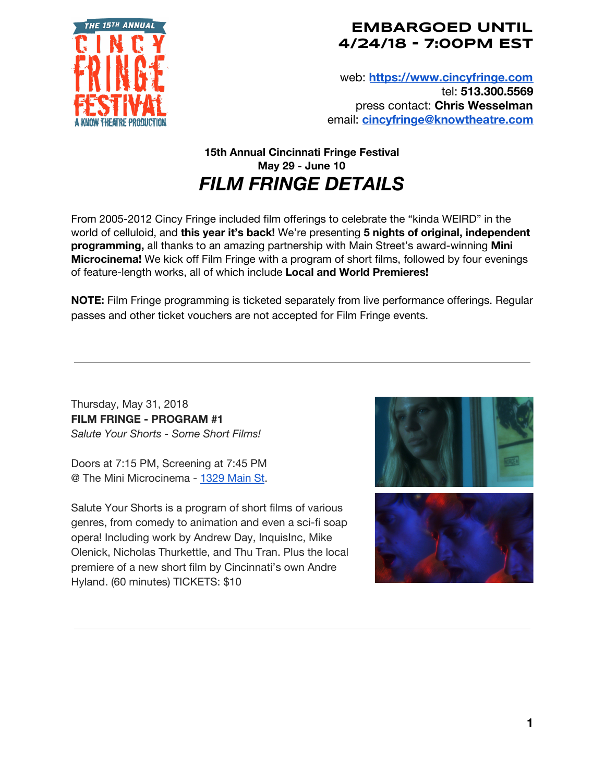

## **EMBARGOED UNTIL 4/24/18 - 7:00PM EST**

web: **[https://www.cincyfringe.com](https://www.cincyfringe.com/)** tel: **513.300.5569** press contact: **Chris Wesselman** email: **[cincyfringe@knowtheatre.com](mailto:cincyfringe@knowtheatre.com)**

## **15th Annual Cincinnati Fringe Festival May 29 - June 10** *FILM FRINGE DETAILS*

From 2005-2012 Cincy Fringe included film offerings to celebrate the "kinda WEIRD" in the world of celluloid, and **this year it's back!** We're presenting **5 nights of original, independent programming,** all thanks to an amazing partnership with Main Street's award-winning **Mini Microcinema!** We kick off Film Fringe with a program of short films, followed by four evenings of feature-length works, all of which include **Local and World Premieres!**

**NOTE:** Film Fringe programming is ticketed separately from live performance offerings. Regular passes and other ticket vouchers are not accepted for Film Fringe events.

Thursday, May 31, 2018 **FILM FRINGE - PROGRAM #1** *Salute Your Shorts - Some Short Films!*

Doors at 7:15 PM, Screening at 7:45 PM @ The Mini Microcinema - [1329](https://maps.google.com/?q=1329+Main+St&entry=gmail&source=g) Main St.

Salute Your Shorts is a program of short films of various genres, from comedy to animation and even a sci-fi soap opera! Including work by Andrew Day, InquisInc, Mike Olenick, Nicholas Thurkettle, and Thu Tran. Plus the local premiere of a new short film by Cincinnati's own Andre Hyland. (60 minutes) TICKETS: \$10



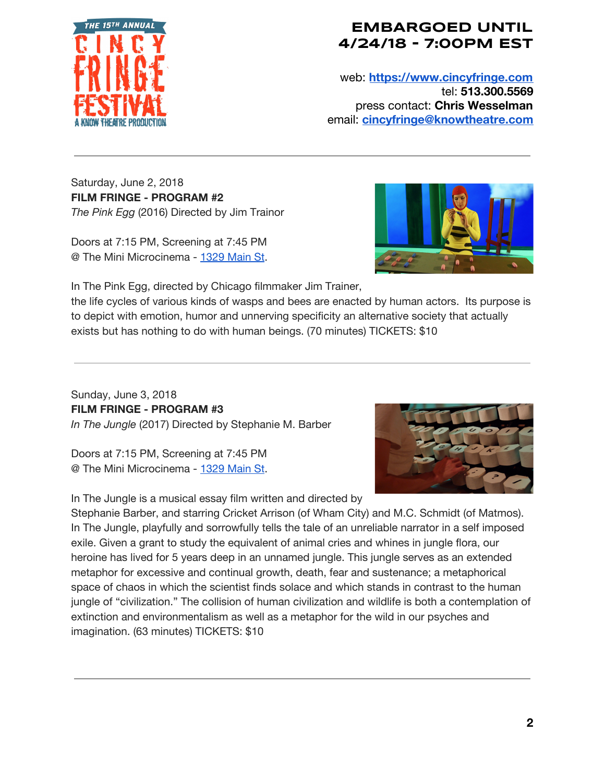

## **EMBARGOED UNTIL 4/24/18 - 7:00PM EST**

web: **[https://www.cincyfringe.com](https://www.cincyfringe.com/)** tel: **513.300.5569** press contact: **Chris Wesselman** email: **[cincyfringe@knowtheatre.com](mailto:cincyfringe@knowtheatre.com)**

Saturday, June 2, 2018 **FILM FRINGE - PROGRAM #2** *The Pink Egg* (2016) Directed by Jim Trainor

Doors at 7:15 PM, Screening at 7:45 PM @ The Mini Microcinema - [1329](https://maps.google.com/?q=1329+Main+St&entry=gmail&source=g) Main St.



In The Pink Egg, directed by Chicago filmmaker Jim Trainer,

the life cycles of various kinds of wasps and bees are enacted by human actors. Its purpose is to depict with emotion, humor and unnerving specificity an alternative society that actually exists but has nothing to do with human beings. (70 minutes) TICKETS: \$10

Sunday, June 3, 2018 **FILM FRINGE - PROGRAM #3** *In The Jungle* (2017) Directed by Stephanie M. Barber

Doors at 7:15 PM, Screening at 7:45 PM @ The Mini Microcinema - [1329](https://maps.google.com/?q=1329+Main+St&entry=gmail&source=g) Main St.

In The Jungle is a musical essay film written and directed by



Stephanie Barber, and starring Cricket Arrison (of Wham City) and M.C. Schmidt (of Matmos). In The Jungle, playfully and sorrowfully tells the tale of an unreliable narrator in a self imposed exile. Given a grant to study the equivalent of animal cries and whines in jungle flora, our heroine has lived for 5 years deep in an unnamed jungle. This jungle serves as an extended metaphor for excessive and continual growth, death, fear and sustenance; a metaphorical space of chaos in which the scientist finds solace and which stands in contrast to the human jungle of "civilization." The collision of human civilization and wildlife is both a contemplation of extinction and environmentalism as well as a metaphor for the wild in our psyches and imagination. (63 minutes) TICKETS: \$10